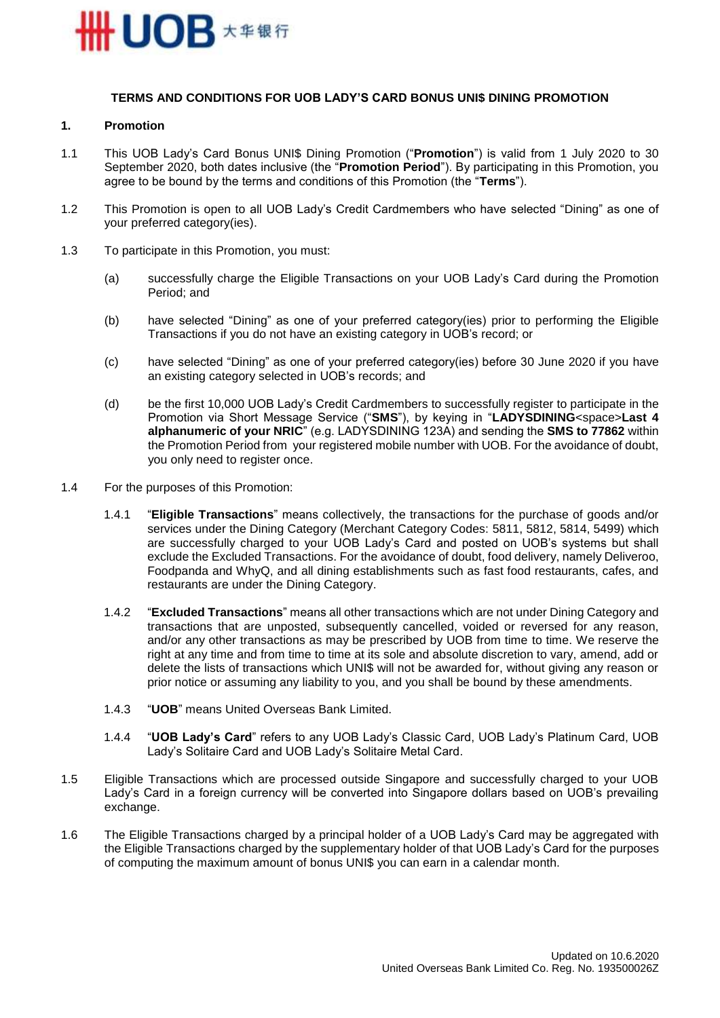

### **TERMS AND CONDITIONS FOR UOB LADY'S CARD BONUS UNI\$ DINING PROMOTION**

### **1. Promotion**

- 1.1 This UOB Lady's Card Bonus UNI\$ Dining Promotion ("**Promotion**") is valid from 1 July 2020 to 30 September 2020, both dates inclusive (the "**Promotion Period**"). By participating in this Promotion, you agree to be bound by the terms and conditions of this Promotion (the "**Terms**").
- 1.2 This Promotion is open to all UOB Lady's Credit Cardmembers who have selected "Dining" as one of your preferred category(ies).
- <span id="page-0-0"></span>1.3 To participate in this Promotion, you must:
	- (a) successfully charge the Eligible Transactions on your UOB Lady's Card during the Promotion Period; and
	- (b) have selected "Dining" as one of your preferred category(ies) prior to performing the Eligible Transactions if you do not have an existing category in UOB's record; or
	- (c) have selected "Dining" as one of your preferred category(ies) before 30 June 2020 if you have an existing category selected in UOB's records; and
	- (d) be the first 10,000 UOB Lady's Credit Cardmembers to successfully register to participate in the Promotion via Short Message Service ("**SMS**"), by keying in "**LADYSDINING**<space>**Last 4 alphanumeric of your NRIC**" (e.g. LADYSDINING 123A) and sending the **SMS to 77862** within the Promotion Period from your registered mobile number with UOB. For the avoidance of doubt, you only need to register once.
- 1.4 For the purposes of this Promotion:
	- 1.4.1 "**Eligible Transactions**" means collectively, the transactions for the purchase of goods and/or services under the Dining Category (Merchant Category Codes: 5811, 5812, 5814, 5499) which are successfully charged to your UOB Lady's Card and posted on UOB's systems but shall exclude the Excluded Transactions. For the avoidance of doubt, food delivery, namely Deliveroo, Foodpanda and WhyQ, and all dining establishments such as fast food restaurants, cafes, and restaurants are under the Dining Category.
	- 1.4.2 "**Excluded Transactions**" means all other transactions which are not under Dining Category and transactions that are unposted, subsequently cancelled, voided or reversed for any reason, and/or any other transactions as may be prescribed by UOB from time to time. We reserve the right at any time and from time to time at its sole and absolute discretion to vary, amend, add or delete the lists of transactions which UNI\$ will not be awarded for, without giving any reason or prior notice or assuming any liability to you, and you shall be bound by these amendments.
	- 1.4.3 "**UOB**" means United Overseas Bank Limited.
	- 1.4.4 "**UOB Lady's Card**" refers to any UOB Lady's Classic Card, UOB Lady's Platinum Card, UOB Lady's Solitaire Card and UOB Lady's Solitaire Metal Card.
- 1.5 Eligible Transactions which are processed outside Singapore and successfully charged to your UOB Lady's Card in a foreign currency will be converted into Singapore dollars based on UOB's prevailing exchange.
- 1.6 The Eligible Transactions charged by a principal holder of a UOB Lady's Card may be aggregated with the Eligible Transactions charged by the supplementary holder of that UOB Lady's Card for the purposes of computing the maximum amount of bonus UNI\$ you can earn in a calendar month.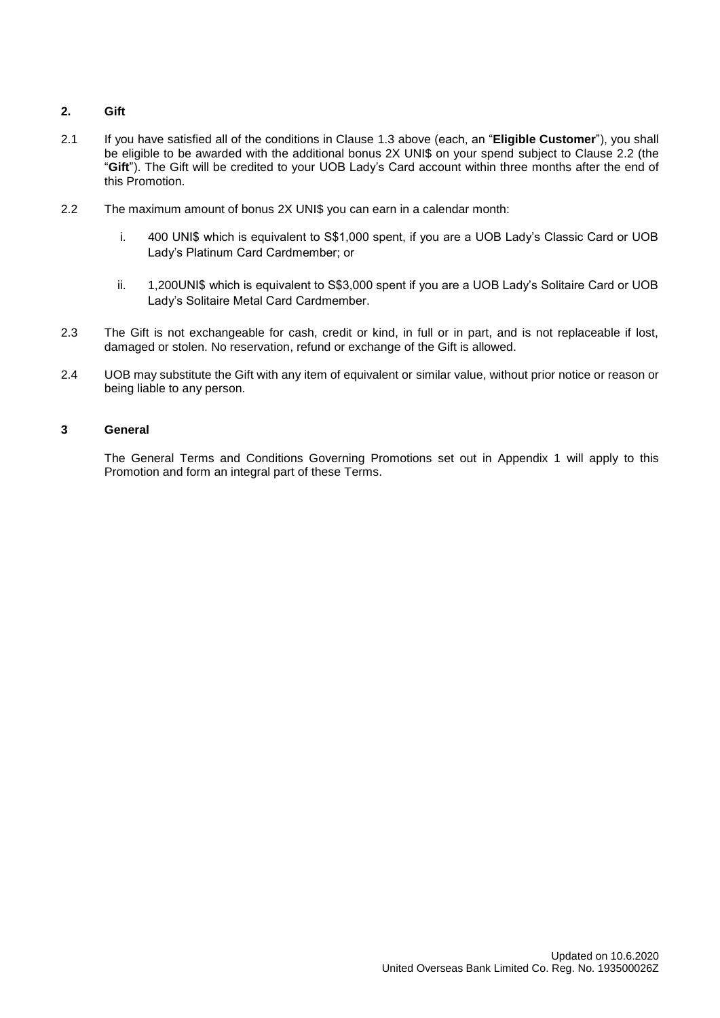# **2. Gift**

- 2.1 If you have satisfied all of the conditions in Clause [1.3](#page-0-0) above (each, an "**Eligible Customer**"), you shall be eligible to be awarded with the additional bonus 2X UNI\$ on your spend subject to Clause 2.2 (the "**Gift**"). The Gift will be credited to your UOB Lady's Card account within three months after the end of this Promotion.
- 2.2 The maximum amount of bonus 2X UNI\$ you can earn in a calendar month:
	- i. 400 UNI\$ which is equivalent to S\$1,000 spent, if you are a UOB Lady's Classic Card or UOB Lady's Platinum Card Cardmember; or
	- ii. 1,200UNI\$ which is equivalent to S\$3,000 spent if you are a UOB Lady's Solitaire Card or UOB Lady's Solitaire Metal Card Cardmember.
- 2.3 The Gift is not exchangeable for cash, credit or kind, in full or in part, and is not replaceable if lost, damaged or stolen. No reservation, refund or exchange of the Gift is allowed.
- 2.4 UOB may substitute the Gift with any item of equivalent or similar value, without prior notice or reason or being liable to any person.

### **3 General**

The General Terms and Conditions Governing Promotions set out in Appendix 1 will apply to this Promotion and form an integral part of these Terms.